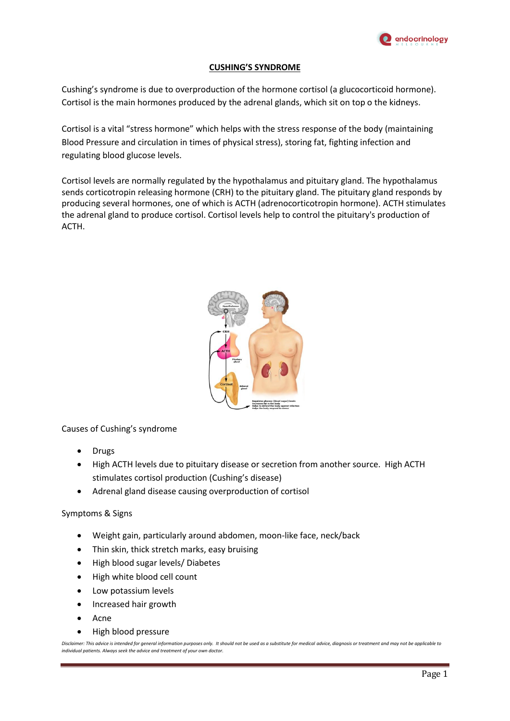

## **CUSHING'S SYNDROME**

Cushing's syndrome is due to overproduction of the hormone cortisol (a glucocorticoid hormone). Cortisol is the main hormones produced by the adrenal glands, which sit on top o the kidneys.

Cortisol is a vital "stress hormone" which helps with the stress response of the body (maintaining Blood Pressure and circulation in times of physical stress), storing fat, fighting infection and regulating blood glucose levels.

Cortisol levels are normally regulated by the hypothalamus and pituitary gland. The hypothalamus sends corticotropin releasing hormone (CRH) to the pituitary gland. The pituitary gland responds by producing several hormones, one of which is ACTH (adrenocorticotropin hormone). ACTH stimulates the adrenal gland to produce cortisol. Cortisol levels help to control the pituitary's production of ACTH.



Causes of Cushing's syndrome

- Drugs
- High ACTH levels due to pituitary disease or secretion from another source. High ACTH stimulates cortisol production (Cushing's disease)
- Adrenal gland disease causing overproduction of cortisol

## Symptoms & Signs

- Weight gain, particularly around abdomen, moon-like face, neck/back
- Thin skin, thick stretch marks, easy bruising
- High blood sugar levels/ Diabetes
- High white blood cell count
- Low potassium levels
- Increased hair growth
- Acne
- High blood pressure

*Disclaimer: This advice is intended for general information purposes only. It should not be used as a substitute for medical advice, diagnosis or treatment and may not be applicable to individual patients. Always seek the advice and treatment of your own doctor.*